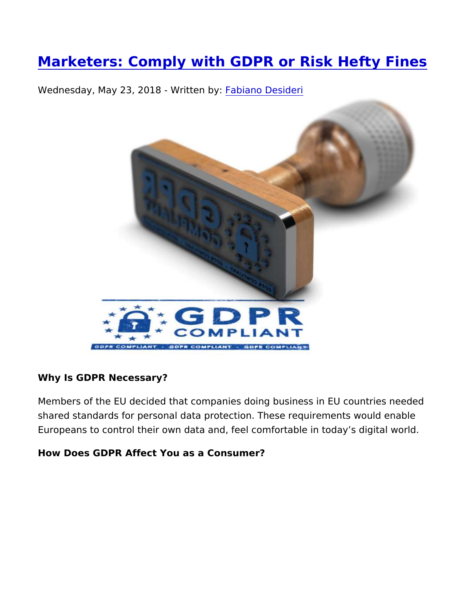[Marketers: Comply with GDPR or Risk H](https://www.3d2b.com/blog/marketing-services-systems/data-services-list-management/marketers-comply-with-gdpr-or-risk)efty

[W](https://www.3d2b.com/blog/fabiano-desideri.html)ednesday, May 23, 2018 - Waittitem ob Desideri

Why Is GDPR Necessary?

Members of the EU decided that companies doing business in EU shared standards for personal data protection. These requirement Europeans to control their own data and, feel comfortable in toda

How Does GDPR Affect You as a Consumer?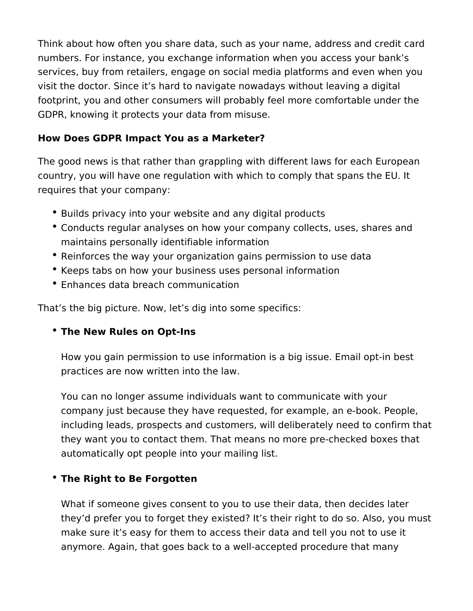Think about how often you share data, such as your name, address and credit card numbers. For instance, you exchange information when you access your bank's services, buy from retailers, engage on social media platforms and even when you visit the doctor. Since it's hard to navigate nowadays without leaving a digital footprint, you and other consumers will probably feel more comfortable under the GDPR, knowing it protects your data from misuse.

#### **How Does GDPR Impact You as a Marketer?**

The good news is that rather than grappling with different laws for each European country, you will have one regulation with which to comply that spans the EU. It requires that your company:

- Builds privacy into your website and any digital products
- Conducts regular analyses on how your company collects, uses, shares and maintains personally identifiable information
- Reinforces the way your organization gains permission to use data
- Keeps tabs on how your business uses personal information
- Enhances data breach communication

That's the big picture. Now, let's dig into some specifics:

### **The New Rules on Opt-Ins**

How you gain permission to use information is a big issue. Email opt-in best practices are now written into the law.

You can no longer assume individuals want to communicate with your company just because they have requested, for example, an e-book. People, including leads, prospects and customers, will deliberately need to confirm that they want you to contact them. That means no more pre-checked boxes that automatically opt people into your mailing list.

### **The Right to Be Forgotten**

What if someone gives consent to you to use their data, then decides later they'd prefer you to forget they existed? It's their right to do so. Also, you must make sure it's easy for them to access their data and tell you not to use it anymore. Again, that goes back to a well-accepted procedure that many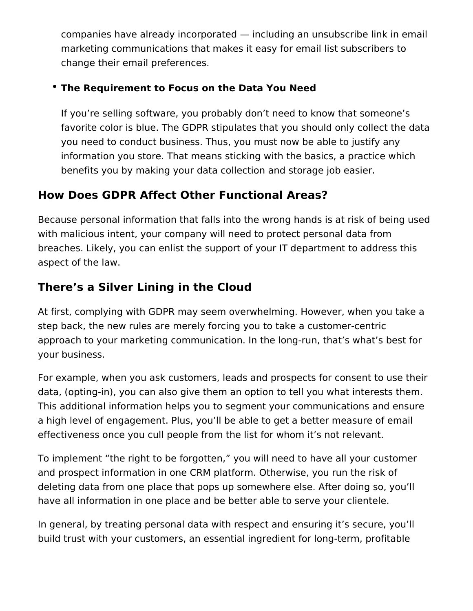companies have already incorporated — including an unsubscribe link in email marketing communications that makes it easy for email list subscribers to change their email preferences.

### **The Requirement to Focus on the Data You Need**

If you're selling software, you probably don't need to know that someone's favorite color is blue. The GDPR stipulates that you should only collect the data you need to conduct business. Thus, you must now be able to justify any information you store. That means sticking with the basics, a practice which benefits you by making your data collection and storage job easier.

## **How Does GDPR Affect Other Functional Areas?**

Because personal information that falls into the wrong hands is at risk of being used with malicious intent, your company will need to protect personal data from breaches. Likely, you can enlist the support of your IT department to address this aspect of the law.

# **There's a Silver Lining in the Cloud**

At first, complying with GDPR may seem overwhelming. However, when you take a step back, the new rules are merely forcing you to take a customer-centric approach to your marketing communication. In the long-run, that's what's best for your business.

For example, when you ask customers, leads and prospects for consent to use their data, (opting-in), you can also give them an option to tell you what interests them. This additional information helps you to segment your communications and ensure a high level of engagement. Plus, you'll be able to get a better measure of email effectiveness once you cull people from the list for whom it's not relevant.

To implement "the right to be forgotten," you will need to have all your customer and prospect information in one CRM platform. Otherwise, you run the risk of deleting data from one place that pops up somewhere else. After doing so, you'll have all information in one place and be better able to serve your clientele.

In general, by treating personal data with respect and ensuring it's secure, you'll build trust with your customers, an essential ingredient for long-term, profitable